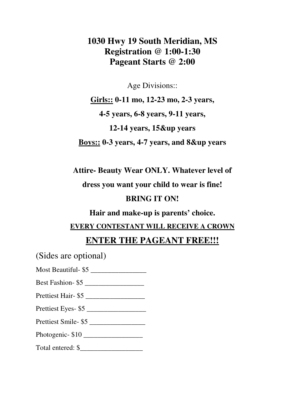## **1030 Hwy 19 South Meridian, MS Registration @ 1:00-1:30 Pageant Starts @ 2:00**

Age Divisions::

**Girls:: 0-11 mo, 12-23 mo, 2-3 years, 4-5 years, 6-8 years, 9-11 years, 12-14 years, 15&up years Boys:: 0-3 years, 4-7 years, and 8&up years** 

**Attire- Beauty Wear ONLY. Whatever level of** 

**dress you want your child to wear is fine!** 

#### **BRING IT ON!**

**Hair and make-up is parents' choice.** 

**EVERY CONTESTANT WILL RECEIVE A CROWN** 

#### **ENTER THE PAGEANT FREE!!!**

(Sides are optional)

Most Beautiful- \$5

Best Fashion- \$5

Prettiest Hair- \$5

Prettiest Eyes- \$5

Prettiest Smile- \$5

Photogenic- \$10 \_\_\_\_\_\_\_\_\_\_\_\_\_\_\_\_\_

Total entered: \$\_\_\_\_\_\_\_\_\_\_\_\_\_\_\_\_\_\_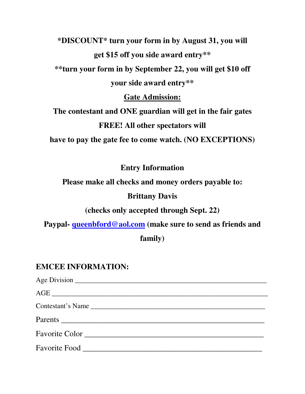**\*DISCOUNT\* turn your form in by August 31, you will get \$15 off you side award entry\*\* \*\*turn your form in by September 22, you will get \$10 off your side award entry\*\*** 

**Gate Admission:** 

**The contestant and ONE guardian will get in the fair gates FREE! All other spectators will** 

**have to pay the gate fee to come watch. (NO EXCEPTIONS)** 

**Entry Information** 

**Please make all checks and money orders payable to:**

#### **Brittany Davis**

**(checks only accepted through Sept. 22)** 

**Paypal- queenbford@aol.com (make sure to send as friends and** 

**family)** 

### **EMCEE INFORMATION:**

Age Division **Age Division** 2. The same of the same of the same of the same of the same of the same of the same of the same of the same of the same of the same of the same of the same of the same of the same of the same of  $\overline{\text{AGE}}$ Contestant's Name \_\_\_\_\_\_\_\_\_\_\_\_\_\_\_\_\_\_\_\_\_\_\_\_\_\_\_\_\_\_\_\_\_\_\_\_\_\_\_\_\_\_\_\_\_\_\_\_\_\_ Parents **Exercise 2.2** Favorite Color **Example 2018** Favorite Food **Exercise** Food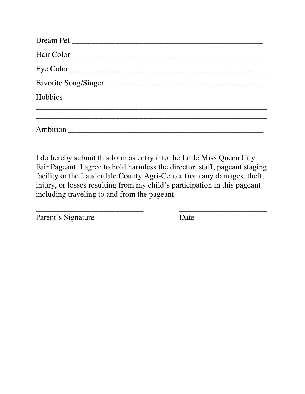| Eye Color            |  |
|----------------------|--|
| Favorite Song/Singer |  |
| Hobbies              |  |
|                      |  |
|                      |  |

I do hereby submit this form as entry into the Little Miss Queen City Fair Pageant. I agree to hold harmless the director, staff, pageant staging facility or the Lauderdale County Agri-Center from any damages, theft, injury, or losses resulting from my child's participation in this pageant including traveling to and from the pageant.

\_\_\_\_\_\_\_\_\_\_\_\_\_\_\_\_\_\_\_\_\_\_\_\_\_\_\_ \_\_\_\_\_\_\_\_\_\_\_\_\_\_\_\_\_\_\_\_\_\_

Parent's Signature Date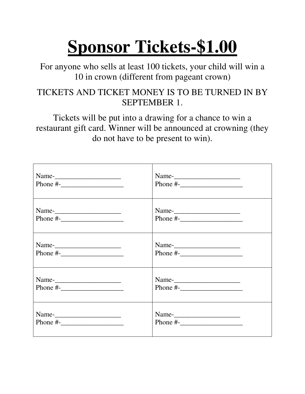# **Sponsor Tickets-\$1.00**

For anyone who sells at least 100 tickets, your child will win a 10 in crown (different from pageant crown)

## TICKETS AND TICKET MONEY IS TO BE TURNED IN BY SEPTEMBER 1.

Tickets will be put into a drawing for a chance to win a restaurant gift card. Winner will be announced at crowning (they do not have to be present to win).

| Phone #- $\frac{1}{2}$                                                                                                                                                                                                                                                                                                 |              |
|------------------------------------------------------------------------------------------------------------------------------------------------------------------------------------------------------------------------------------------------------------------------------------------------------------------------|--------------|
|                                                                                                                                                                                                                                                                                                                        |              |
| Phone #- $\frac{1}{2}$ $\frac{1}{2}$ $\frac{1}{2}$ $\frac{1}{2}$ $\frac{1}{2}$ $\frac{1}{2}$ $\frac{1}{2}$ $\frac{1}{2}$ $\frac{1}{2}$ $\frac{1}{2}$ $\frac{1}{2}$ $\frac{1}{2}$ $\frac{1}{2}$ $\frac{1}{2}$ $\frac{1}{2}$ $\frac{1}{2}$ $\frac{1}{2}$ $\frac{1}{2}$ $\frac{1}{2}$ $\frac{1}{2}$ $\frac{1}{2}$ $\frac$ |              |
|                                                                                                                                                                                                                                                                                                                        |              |
| Phone $\#$ -                                                                                                                                                                                                                                                                                                           | Phone $\#$ - |
|                                                                                                                                                                                                                                                                                                                        |              |
|                                                                                                                                                                                                                                                                                                                        |              |
|                                                                                                                                                                                                                                                                                                                        | Name-        |
| Phone $\#$ -                                                                                                                                                                                                                                                                                                           | Phone $\#$ - |